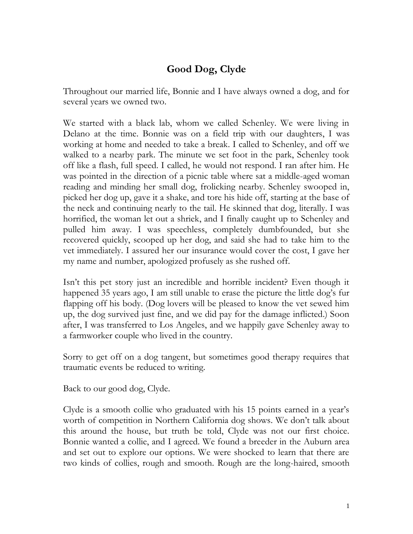## **Good Dog, Clyde**

Throughout our married life, Bonnie and I have always owned a dog, and for several years we owned two.

We started with a black lab, whom we called Schenley. We were living in Delano at the time. Bonnie was on a field trip with our daughters, I was working at home and needed to take a break. I called to Schenley, and off we walked to a nearby park. The minute we set foot in the park, Schenley took off like a flash, full speed. I called, he would not respond. I ran after him. He was pointed in the direction of a picnic table where sat a middle-aged woman reading and minding her small dog, frolicking nearby. Schenley swooped in, picked her dog up, gave it a shake, and tore his hide off, starting at the base of the neck and continuing nearly to the tail. He skinned that dog, literally. I was horrified, the woman let out a shriek, and I finally caught up to Schenley and pulled him away. I was speechless, completely dumbfounded, but she recovered quickly, scooped up her dog, and said she had to take him to the vet immediately. I assured her our insurance would cover the cost, I gave her my name and number, apologized profusely as she rushed off.

Isn't this pet story just an incredible and horrible incident? Even though it happened 35 years ago, I am still unable to erase the picture the little dog's fur flapping off his body. (Dog lovers will be pleased to know the vet sewed him up, the dog survived just fine, and we did pay for the damage inflicted.) Soon after, I was transferred to Los Angeles, and we happily gave Schenley away to a farmworker couple who lived in the country.

Sorry to get off on a dog tangent, but sometimes good therapy requires that traumatic events be reduced to writing.

Back to our good dog, Clyde.

Clyde is a smooth collie who graduated with his 15 points earned in a year's worth of competition in Northern California dog shows. We don't talk about this around the house, but truth be told, Clyde was not our first choice. Bonnie wanted a collie, and I agreed. We found a breeder in the Auburn area and set out to explore our options. We were shocked to learn that there are two kinds of collies, rough and smooth. Rough are the long-haired, smooth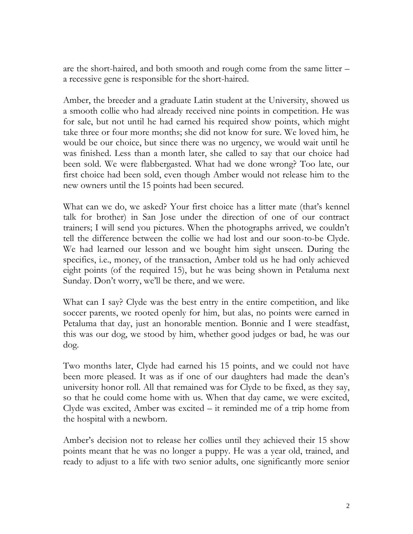are the short-haired, and both smooth and rough come from the same litter – a recessive gene is responsible for the short-haired.

Amber, the breeder and a graduate Latin student at the University, showed us a smooth collie who had already received nine points in competition. He was for sale, but not until he had earned his required show points, which might take three or four more months; she did not know for sure. We loved him, he would be our choice, but since there was no urgency, we would wait until he was finished. Less than a month later, she called to say that our choice had been sold. We were flabbergasted. What had we done wrong? Too late, our first choice had been sold, even though Amber would not release him to the new owners until the 15 points had been secured.

What can we do, we asked? Your first choice has a litter mate (that's kennel talk for brother) in San Jose under the direction of one of our contract trainers; I will send you pictures. When the photographs arrived, we couldn't tell the difference between the collie we had lost and our soon-to-be Clyde. We had learned our lesson and we bought him sight unseen. During the specifics, i.e., money, of the transaction, Amber told us he had only achieved eight points (of the required 15), but he was being shown in Petaluma next Sunday. Don't worry, we'll be there, and we were.

What can I say? Clyde was the best entry in the entire competition, and like soccer parents, we rooted openly for him, but alas, no points were earned in Petaluma that day, just an honorable mention. Bonnie and I were steadfast, this was our dog, we stood by him, whether good judges or bad, he was our dog.

Two months later, Clyde had earned his 15 points, and we could not have been more pleased. It was as if one of our daughters had made the dean's university honor roll. All that remained was for Clyde to be fixed, as they say, so that he could come home with us. When that day came, we were excited, Clyde was excited, Amber was excited – it reminded me of a trip home from the hospital with a newborn.

Amber's decision not to release her collies until they achieved their 15 show points meant that he was no longer a puppy. He was a year old, trained, and ready to adjust to a life with two senior adults, one significantly more senior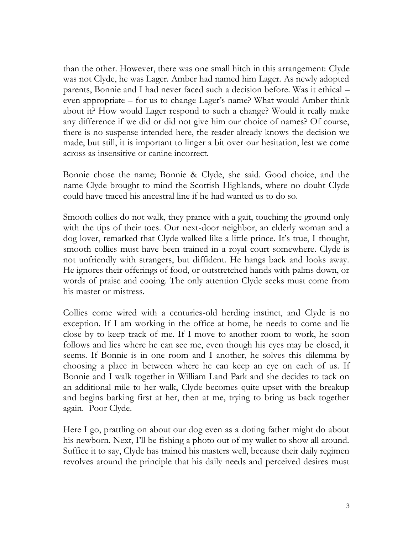than the other. However, there was one small hitch in this arrangement: Clyde was not Clyde, he was Lager. Amber had named him Lager. As newly adopted parents, Bonnie and I had never faced such a decision before. Was it ethical – even appropriate – for us to change Lager's name? What would Amber think about it? How would Lager respond to such a change? Would it really make any difference if we did or did not give him our choice of names? Of course, there is no suspense intended here, the reader already knows the decision we made, but still, it is important to linger a bit over our hesitation, lest we come across as insensitive or canine incorrect.

Bonnie chose the name; Bonnie & Clyde, she said. Good choice, and the name Clyde brought to mind the Scottish Highlands, where no doubt Clyde could have traced his ancestral line if he had wanted us to do so.

Smooth collies do not walk, they prance with a gait, touching the ground only with the tips of their toes. Our next-door neighbor, an elderly woman and a dog lover, remarked that Clyde walked like a little prince. It's true, I thought, smooth collies must have been trained in a royal court somewhere. Clyde is not unfriendly with strangers, but diffident. He hangs back and looks away. He ignores their offerings of food, or outstretched hands with palms down, or words of praise and cooing. The only attention Clyde seeks must come from his master or mistress.

Collies come wired with a centuries-old herding instinct, and Clyde is no exception. If I am working in the office at home, he needs to come and lie close by to keep track of me. If I move to another room to work, he soon follows and lies where he can see me, even though his eyes may be closed, it seems. If Bonnie is in one room and I another, he solves this dilemma by choosing a place in between where he can keep an eye on each of us. If Bonnie and I walk together in William Land Park and she decides to tack on an additional mile to her walk, Clyde becomes quite upset with the breakup and begins barking first at her, then at me, trying to bring us back together again. Poor Clyde.

Here I go, prattling on about our dog even as a doting father might do about his newborn. Next, I'll be fishing a photo out of my wallet to show all around. Suffice it to say, Clyde has trained his masters well, because their daily regimen revolves around the principle that his daily needs and perceived desires must